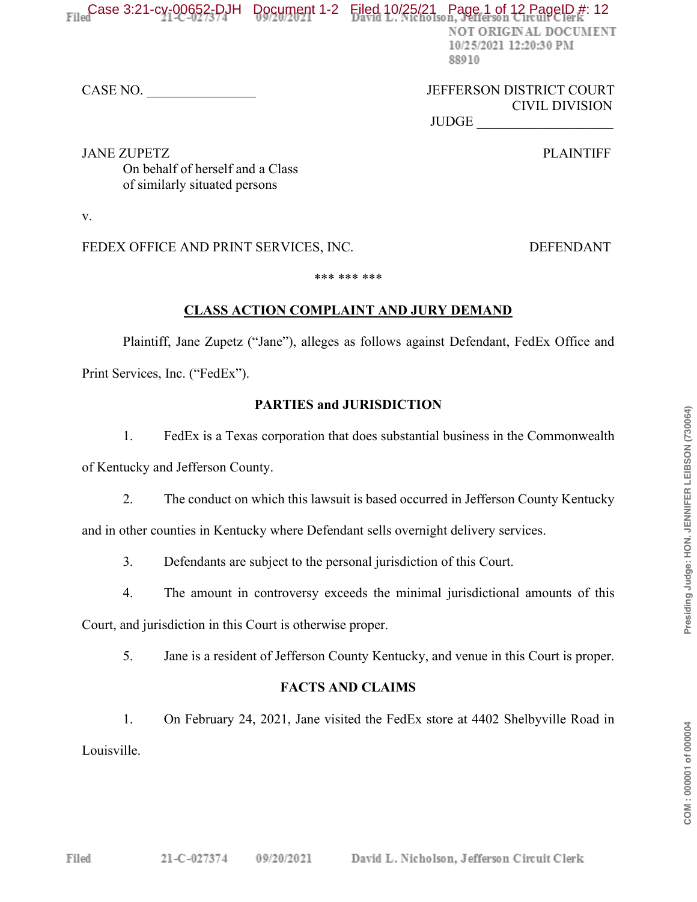## Filed 2.21-cy-00652-DJH Document 1-2 Filed 10/25/21 Page 1 of 12 PageID #: 12

NOT ORIGINAL DOCUMENT 10/25/2021 12:20:30 PM 88910

#### CASE NO. \_\_\_\_\_\_\_\_\_\_\_\_\_\_\_\_ JEFFERSON DISTRICT COURT CIVIL DIVISION

JUDGE

JANE ZUPETZ PLAINTIFF On behalf of herself and a Class of similarly situated persons

v.

FEDEX OFFICE AND PRINT SERVICES, INC. DEFENDANT

#### \*\*\* \*\*\* \*\*\*

#### **CLASS ACTION COMPLAINT AND JURY DEMAND**

Plaintiff, Jane Zupetz ("Jane"), alleges as follows against Defendant, FedEx Office and Print Services, Inc. ("FedEx").

#### **PARTIES and JURISDICTION**

1. FedEx is a Texas corporation that does substantial business in the Commonwealth

of Kentucky and Jefferson County.

2. The conduct on which this lawsuit is based occurred in Jefferson County Kentucky

and in other counties in Kentucky where Defendant sells overnight delivery services.

- 3. Defendants are subject to the personal jurisdiction of this Court.
- 4. The amount in controversy exceeds the minimal jurisdictional amounts of this

Court, and jurisdiction in this Court is otherwise proper.

5. Jane is a resident of Jefferson County Kentucky, and venue in this Court is proper.

### **FACTS AND CLAIMS**

1. On February 24, 2021, Jane visited the FedEx store at 4402 Shelbyville Road in Louisville.

COM: 000001 of 000004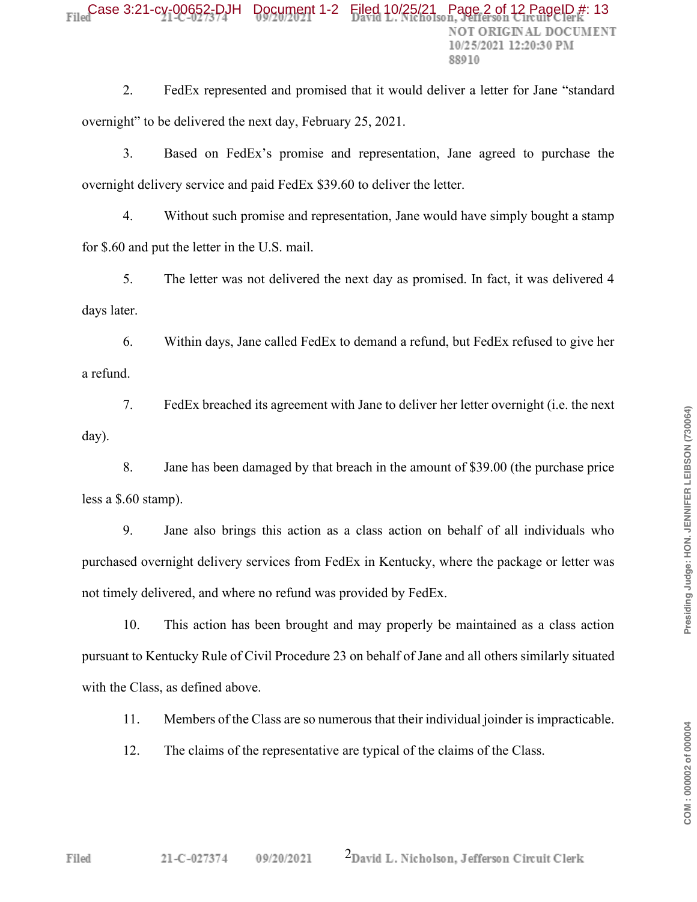2. FedEx represented and promised that it would deliver a letter for Jane "standard" overnight" to be delivered the next day, February 25, 2021.

3. Based on FedEx's promise and representation, Jane agreed to purchase the overnight delivery service and paid FedEx \$39.60 to deliver the letter.

4. Without such promise and representation, Jane would have simply bought a stamp for \$.60 and put the letter in the U.S. mail.

5. The letter was not delivered the next day as promised. In fact, it was delivered 4 days later.

6. Within days, Jane called FedEx to demand a refund, but FedEx refused to give her a refund.

7. FedEx breached its agreement with Jane to deliver her letter overnight (i.e. the next day).

8. Jane has been damaged by that breach in the amount of \$39.00 (the purchase price less a \$.60 stamp).

9. Jane also brings this action as a class action on behalf of all individuals who purchased overnight delivery services from FedEx in Kentucky, where the package or letter was not timely delivered, and where no refund was provided by FedEx.

10. This action has been brought and may properly be maintained as a class action pursuant to Kentucky Rule of Civil Procedure 23 on behalf of Jane and all others similarly situated with the Class, as defined above.

11. Members of the Class are so numerous that their individual joinder is impracticable.

12. The claims of the representative are typical of the claims of the Class.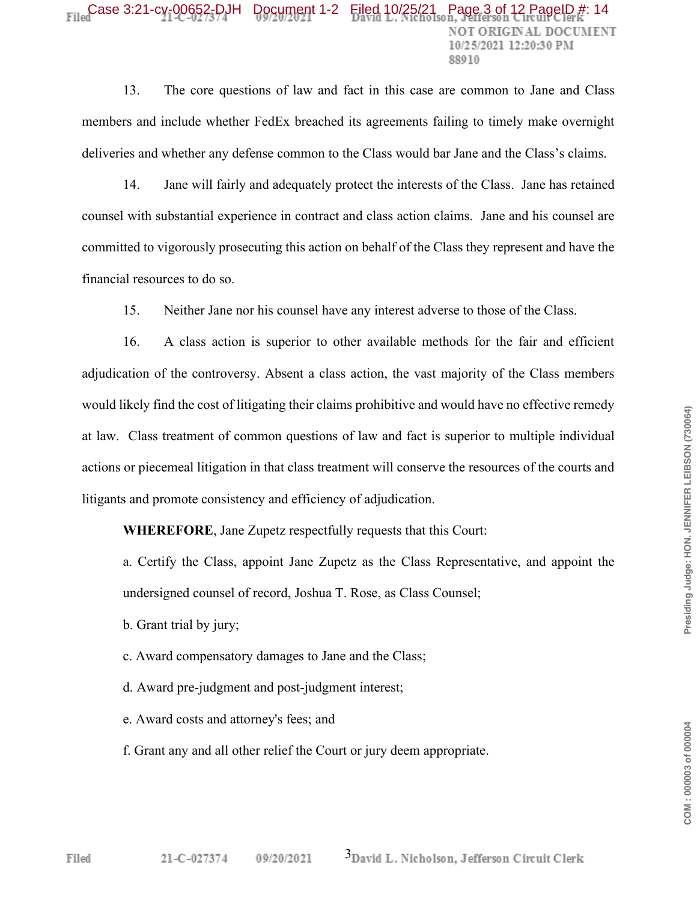# $FileC$  Case 3:21-cy-00652-DJH Document 1-2 Filed 10/25/21 Payer 88010

13. The core questions of law and fact in this case are common to Jane and Class members and include whether FedEx breached its agreements failing to timely make overnight deliveries and whether any defense common to the Class would bar Jane and the Class's claims.

14. Jane will fairly and adequately protect the interests of the Class. Jane has retained counsel with substantial experience in contract and class action claims. Jane and his counsel are committed to vigorously prosecuting this action on behalf of the Class they represent and have the financial resources to do so.

15. Neither Jane nor his counsel have any interest adverse to those of the Class.

16. A class action is superior to other available methods for the fair and efficient adjudication of the controversy. Absent a class action, the vast majority of the Class members would likely find the cost of litigating their claims prohibitive and would have no effective remedy at law. Class treatment of common questions of law and fact is superior to multiple individual actions or piecemeal litigation in that class treatment will conserve the resources of the courts and litigants and promote consistency and efficiency of adjudication.

**WHEREFORE**, Jane Zupetz respectfully requests that this Court:

a. Certify the Class, appoint Jane Zupetz as the Class Representative, and appoint the undersigned counsel of record, Joshua T. Rose, as Class Counsel;

- b. Grant trial by jury;
- c. Award compensatory damages to Jane and the Class;
- d. Award pre-judgment and post-judgment interest;
- e. Award costs and attorney's fees; and
- f. Grant any and all other relief the Court or jury deem appropriate.